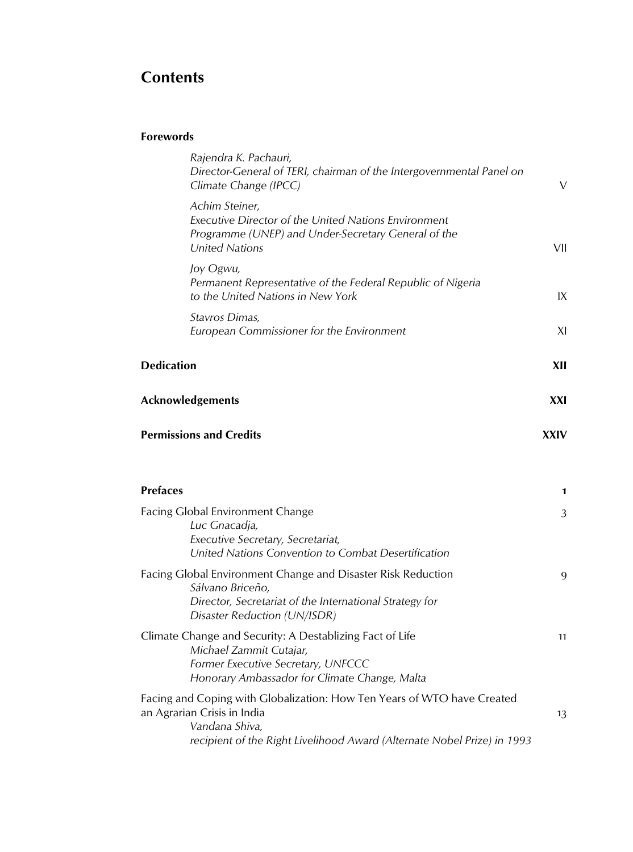# **Contents**

# **Forewords**

|                   | Rajendra K. Pachauri,<br>Director-General of TERI, chairman of the Intergovernmental Panel on<br>Climate Change (IPCC)                                                                              | V           |
|-------------------|-----------------------------------------------------------------------------------------------------------------------------------------------------------------------------------------------------|-------------|
|                   | Achim Steiner,<br>Executive Director of the United Nations Environment<br>Programme (UNEP) and Under-Secretary General of the<br><b>United Nations</b>                                              | VII         |
|                   | Joy Ogwu,<br>Permanent Representative of the Federal Republic of Nigeria<br>to the United Nations in New York                                                                                       | IX          |
|                   | Stavros Dimas,<br>European Commissioner for the Environment                                                                                                                                         | XI          |
| <b>Dedication</b> |                                                                                                                                                                                                     | XII         |
|                   | <b>Acknowledgements</b>                                                                                                                                                                             | XXI         |
|                   | <b>Permissions and Credits</b>                                                                                                                                                                      | <b>XXIV</b> |
| <b>Prefaces</b>   |                                                                                                                                                                                                     | 1           |
|                   | Facing Global Environment Change<br>Luc Gnacadja,<br>Executive Secretary, Secretariat,<br>United Nations Convention to Combat Desertification                                                       | 3           |
|                   | Facing Global Environment Change and Disaster Risk Reduction<br>Sálvano Briceño,<br>Director, Secretariat of the International Strategy for<br>Disaster Reduction (UN/ISDR)                         | 9           |
|                   | Climate Change and Security: A Destablizing Fact of Life<br>Michael Zammit Cutajar,<br>Former Executive Secretary, UNFCCC<br>Honorary Ambassador for Climate Change, Malta                          | 11          |
|                   | Facing and Coping with Globalization: How Ten Years of WTO have Created<br>an Agrarian Crisis in India<br>Vandana Shiva,<br>recipient of the Right Livelihood Award (Alternate Nobel Prize) in 1993 | 13          |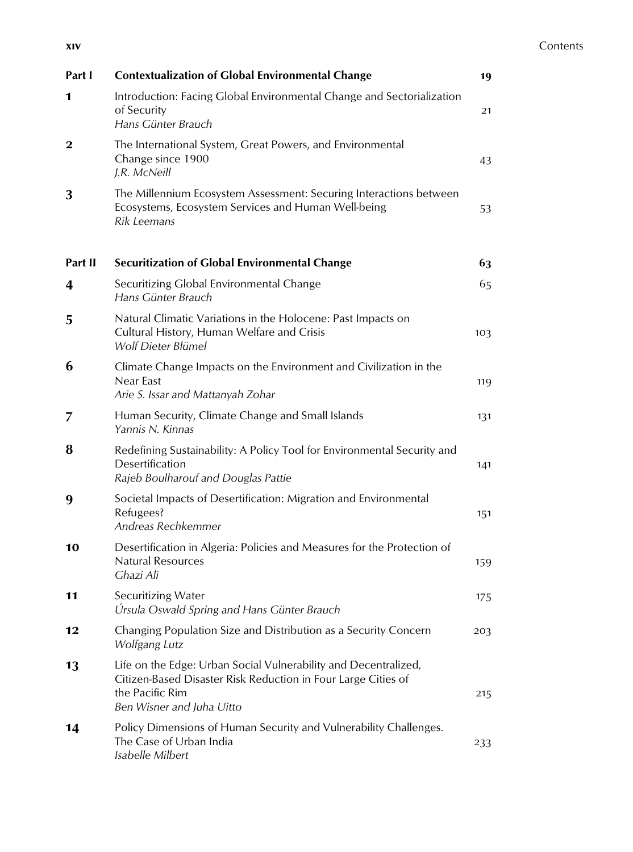| Part I   | <b>Contextualization of Global Environmental Change</b>                                                                                                                          | 19  |
|----------|----------------------------------------------------------------------------------------------------------------------------------------------------------------------------------|-----|
| 1        | Introduction: Facing Global Environmental Change and Sectorialization<br>of Security<br>Hans Günter Brauch                                                                       | 21  |
| $\bf{2}$ | The International System, Great Powers, and Environmental<br>Change since 1900<br>J.R. McNeill                                                                                   | 43  |
| 3        | The Millennium Ecosystem Assessment: Securing Interactions between<br>Ecosystems, Ecosystem Services and Human Well-being<br>Rik Leemans                                         | 53  |
| Part II  | <b>Securitization of Global Environmental Change</b>                                                                                                                             | 63  |
| 4        | Securitizing Global Environmental Change<br>Hans Günter Brauch                                                                                                                   | 65  |
| 5        | Natural Climatic Variations in the Holocene: Past Impacts on<br>Cultural History, Human Welfare and Crisis<br>Wolf Dieter Blümel                                                 | 103 |
| 6        | Climate Change Impacts on the Environment and Civilization in the<br>Near East<br>Arie S. Issar and Mattanyah Zohar                                                              | 119 |
| 7        | Human Security, Climate Change and Small Islands<br>Yannis N. Kinnas                                                                                                             | 131 |
| 8        | Redefining Sustainability: A Policy Tool for Environmental Security and<br>Desertification<br>Rajeb Boulharouf and Douglas Pattie                                                | 141 |
| 9        | Societal Impacts of Desertification: Migration and Environmental<br>Refugees?<br>Andreas Rechkemmer                                                                              | 151 |
| 10       | Desertification in Algeria: Policies and Measures for the Protection of<br><b>Natural Resources</b><br>Ghazi Ali                                                                 | 159 |
| 11       | Securitizing Water<br>Úrsula Oswald Spring and Hans Günter Brauch                                                                                                                | 175 |
| 12       | Changing Population Size and Distribution as a Security Concern<br>Wolfgang Lutz                                                                                                 | 203 |
| 13       | Life on the Edge: Urban Social Vulnerability and Decentralized,<br>Citizen-Based Disaster Risk Reduction in Four Large Cities of<br>the Pacific Rim<br>Ben Wisner and Juha Uitto | 215 |
| 14       | Policy Dimensions of Human Security and Vulnerability Challenges.<br>The Case of Urban India<br>Isabelle Milbert                                                                 | 233 |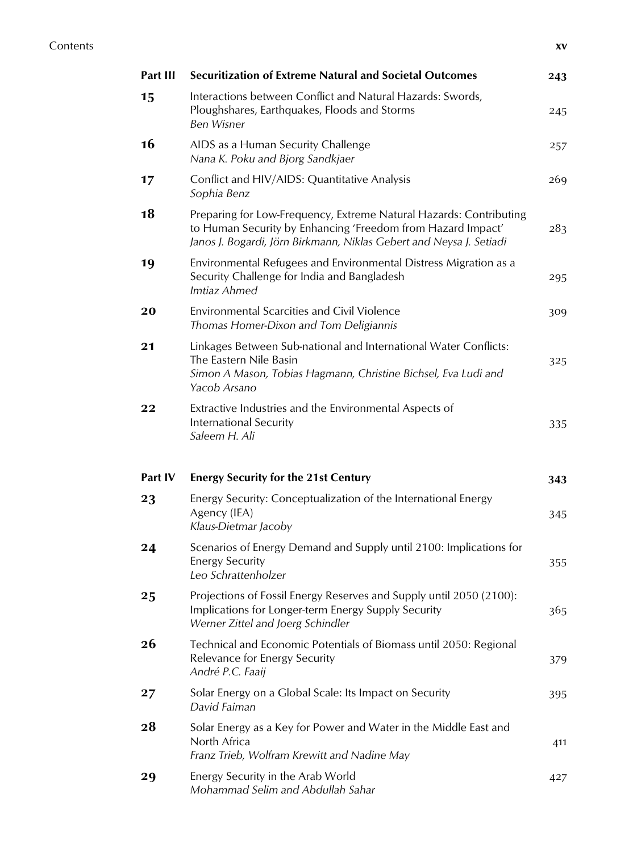| Part III | <b>Securitization of Extreme Natural and Societal Outcomes</b>                                                                                                                                           | 243 |
|----------|----------------------------------------------------------------------------------------------------------------------------------------------------------------------------------------------------------|-----|
| 15       | Interactions between Conflict and Natural Hazards: Swords,<br>Ploughshares, Earthquakes, Floods and Storms<br><b>Ben Wisner</b>                                                                          | 245 |
| 16       | AIDS as a Human Security Challenge<br>Nana K. Poku and Bjorg Sandkjaer                                                                                                                                   | 257 |
| 17       | Conflict and HIV/AIDS: Quantitative Analysis<br>Sophia Benz                                                                                                                                              | 269 |
| 18       | Preparing for Low-Frequency, Extreme Natural Hazards: Contributing<br>to Human Security by Enhancing 'Freedom from Hazard Impact'<br>Janos J. Bogardi, Jörn Birkmann, Niklas Gebert and Neysa J. Setiadi | 283 |
| 19       | Environmental Refugees and Environmental Distress Migration as a<br>Security Challenge for India and Bangladesh<br>Imtiaz Ahmed                                                                          | 295 |
| 20       | Environmental Scarcities and Civil Violence<br>Thomas Homer-Dixon and Tom Deligiannis                                                                                                                    | 309 |
| 21       | Linkages Between Sub-national and International Water Conflicts:<br>The Eastern Nile Basin<br>Simon A Mason, Tobias Hagmann, Christine Bichsel, Eva Ludi and<br>Yacob Arsano                             | 325 |
| 22       | Extractive Industries and the Environmental Aspects of<br>International Security<br>Saleem H. Ali                                                                                                        | 335 |
|          |                                                                                                                                                                                                          |     |
| Part IV  | <b>Energy Security for the 21st Century</b>                                                                                                                                                              | 343 |
| 23       | Energy Security: Conceptualization of the International Energy<br>Agency (IEA)<br>Klaus-Dietmar Jacoby                                                                                                   | 345 |
| 24       | Scenarios of Energy Demand and Supply until 2100: Implications for<br><b>Energy Security</b><br>Leo Schrattenholzer                                                                                      | 355 |
| 25       | Projections of Fossil Energy Reserves and Supply until 2050 (2100):<br>Implications for Longer-term Energy Supply Security<br>Werner Zittel and Joerg Schindler                                          | 365 |
| 26       | Technical and Economic Potentials of Biomass until 2050: Regional<br>Relevance for Energy Security<br>André P.C. Faaij                                                                                   | 379 |
| 27       | Solar Energy on a Global Scale: Its Impact on Security<br>David Faiman                                                                                                                                   | 395 |
| 28       | Solar Energy as a Key for Power and Water in the Middle East and<br>North Africa<br>Franz Trieb, Wolfram Krewitt and Nadine May                                                                          | 411 |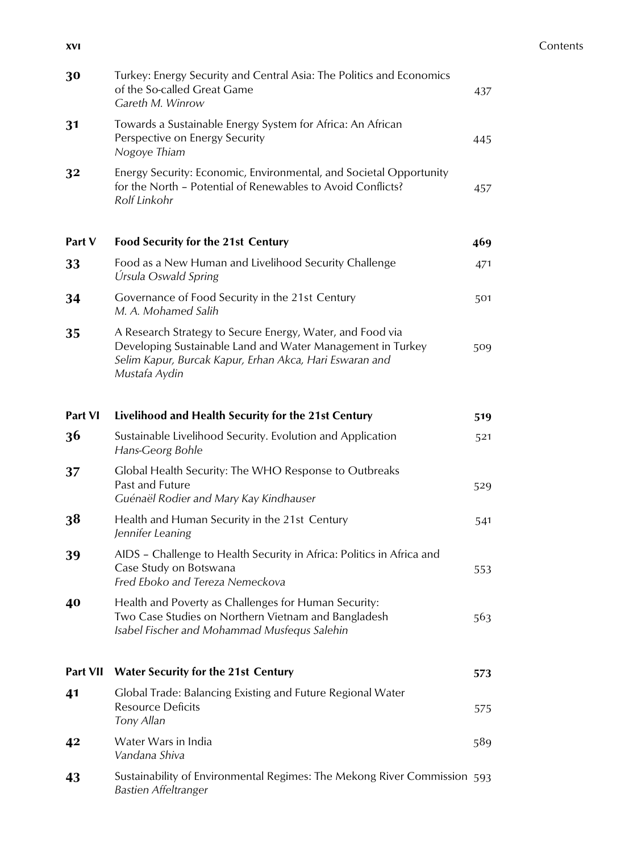### **xvi** Contents

| 30             | Turkey: Energy Security and Central Asia: The Politics and Economics<br>of the So-called Great Game<br>Gareth M. Winrow                                                                             | 437 |
|----------------|-----------------------------------------------------------------------------------------------------------------------------------------------------------------------------------------------------|-----|
| 31             | Towards a Sustainable Energy System for Africa: An African<br>Perspective on Energy Security<br>Nogoye Thiam                                                                                        | 445 |
| 32             | Energy Security: Economic, Environmental, and Societal Opportunity<br>for the North - Potential of Renewables to Avoid Conflicts?<br>Rolf Linkohr                                                   | 457 |
| Part V         | Food Security for the 21st Century                                                                                                                                                                  | 469 |
| 33             | Food as a New Human and Livelihood Security Challenge<br>Úrsula Oswald Spring                                                                                                                       | 471 |
| 34             | Governance of Food Security in the 21st Century<br>M. A. Mohamed Salih                                                                                                                              | 501 |
| 35             | A Research Strategy to Secure Energy, Water, and Food via<br>Developing Sustainable Land and Water Management in Turkey<br>Selim Kapur, Burcak Kapur, Erhan Akca, Hari Eswaran and<br>Mustafa Aydin | 509 |
| <b>Part VI</b> | Livelihood and Health Security for the 21st Century                                                                                                                                                 | 519 |
| 36             | Sustainable Livelihood Security. Evolution and Application<br>Hans-Georg Bohle                                                                                                                      | 521 |
| 37             | Global Health Security: The WHO Response to Outbreaks<br>Past and Future<br>Guénaël Rodier and Mary Kay Kindhauser                                                                                  | 529 |
| 38             | Health and Human Security in the 21st Century<br>Jennifer Leaning                                                                                                                                   | 541 |
| 39             | AIDS - Challenge to Health Security in Africa: Politics in Africa and<br>Case Study on Botswana<br>Fred Eboko and Tereza Nemeckova                                                                  | 553 |
| 40             | Health and Poverty as Challenges for Human Security:<br>Two Case Studies on Northern Vietnam and Bangladesh<br>Isabel Fischer and Mohammad Musfequs Salehin                                         | 563 |
| Part VII       | <b>Water Security for the 21st Century</b>                                                                                                                                                          | 573 |
| 41             | Global Trade: Balancing Existing and Future Regional Water<br><b>Resource Deficits</b><br>Tony Allan                                                                                                | 575 |
| 42             | Water Wars in India<br>Vandana Shiva                                                                                                                                                                | 589 |
| 43             | Sustainability of Environmental Regimes: The Mekong River Commission 593<br>Bastien Affeltranger                                                                                                    |     |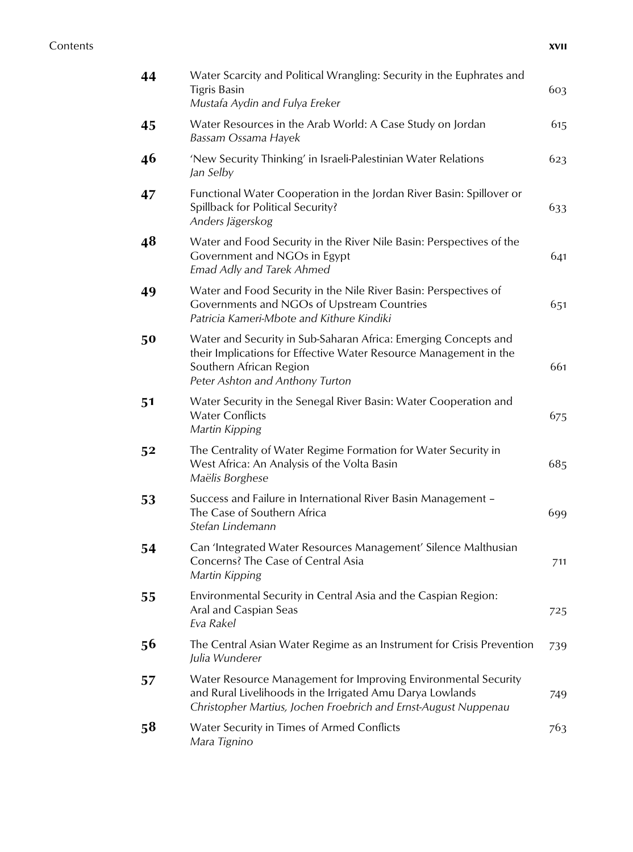## **Contents xvii**

| 44 | Water Scarcity and Political Wrangling: Security in the Euphrates and<br><b>Tigris Basin</b><br>Mustafa Aydin and Fulya Ereker                                                                     | 603 |
|----|----------------------------------------------------------------------------------------------------------------------------------------------------------------------------------------------------|-----|
| 45 | Water Resources in the Arab World: A Case Study on Jordan<br>Bassam Ossama Hayek                                                                                                                   | 615 |
| 46 | 'New Security Thinking' in Israeli-Palestinian Water Relations<br>Jan Selby                                                                                                                        | 623 |
| 47 | Functional Water Cooperation in the Jordan River Basin: Spillover or<br>Spillback for Political Security?<br>Anders Jägerskog                                                                      | 633 |
| 48 | Water and Food Security in the River Nile Basin: Perspectives of the<br>Government and NGOs in Egypt<br><b>Emad Adly and Tarek Ahmed</b>                                                           | 641 |
| 49 | Water and Food Security in the Nile River Basin: Perspectives of<br>Governments and NGOs of Upstream Countries<br>Patricia Kameri-Mbote and Kithure Kindiki                                        | 651 |
| 50 | Water and Security in Sub-Saharan Africa: Emerging Concepts and<br>their Implications for Effective Water Resource Management in the<br>Southern African Region<br>Peter Ashton and Anthony Turton | 661 |
| 51 | Water Security in the Senegal River Basin: Water Cooperation and<br><b>Water Conflicts</b><br>Martin Kipping                                                                                       | 675 |
| 52 | The Centrality of Water Regime Formation for Water Security in<br>West Africa: An Analysis of the Volta Basin<br>Maëlis Borghese                                                                   | 685 |
| 53 | Success and Failure in International River Basin Management -<br>The Case of Southern Africa<br>Stefan Lindemann                                                                                   | 699 |
| 54 | Can 'Integrated Water Resources Management' Silence Malthusian<br>Concerns? The Case of Central Asia<br>Martin Kipping                                                                             | 711 |
| 55 | Environmental Security in Central Asia and the Caspian Region:<br>Aral and Caspian Seas<br>Eva Rakel                                                                                               | 725 |
| 56 | The Central Asian Water Regime as an Instrument for Crisis Prevention<br>Julia Wunderer                                                                                                            | 739 |
| 57 | Water Resource Management for Improving Environmental Security<br>and Rural Livelihoods in the Irrigated Amu Darya Lowlands<br>Christopher Martius, Jochen Froebrich and Ernst-August Nuppenau     | 749 |
| 58 | Water Security in Times of Armed Conflicts<br>Mara Tignino                                                                                                                                         | 763 |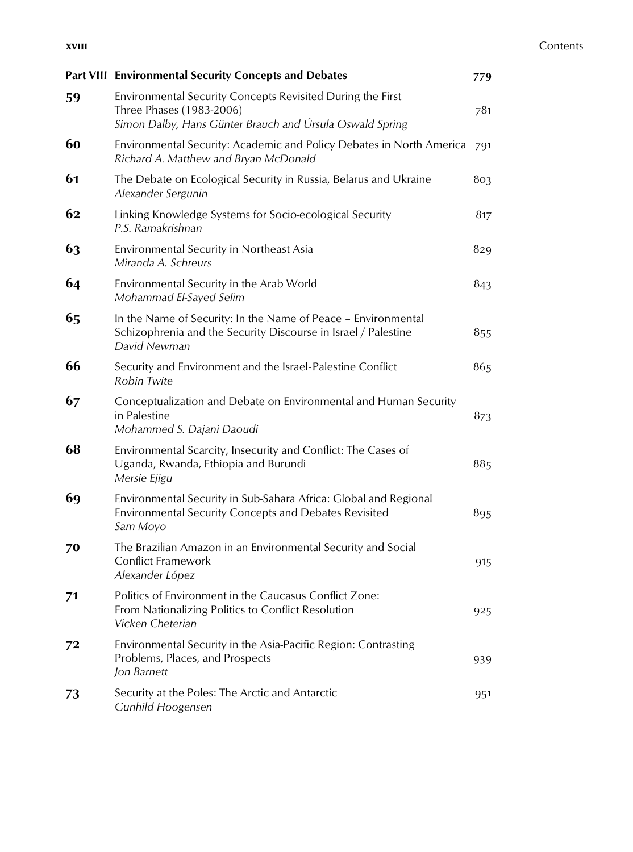|    | <b>Part VIII Environmental Security Concepts and Debates</b>                                                                                       | 779 |
|----|----------------------------------------------------------------------------------------------------------------------------------------------------|-----|
| 59 | Environmental Security Concepts Revisited During the First<br>Three Phases (1983-2006)<br>Simon Dalby, Hans Günter Brauch and Úrsula Oswald Spring | 781 |
| 60 | Environmental Security: Academic and Policy Debates in North America<br>Richard A. Matthew and Bryan McDonald                                      | 791 |
| 61 | The Debate on Ecological Security in Russia, Belarus and Ukraine<br>Alexander Sergunin                                                             | 803 |
| 62 | Linking Knowledge Systems for Socio-ecological Security<br>P.S. Ramakrishnan                                                                       | 817 |
| 63 | Environmental Security in Northeast Asia<br>Miranda A. Schreurs                                                                                    | 829 |
| 64 | Environmental Security in the Arab World<br>Mohammad El-Sayed Selim                                                                                | 843 |
| 65 | In the Name of Security: In the Name of Peace - Environmental<br>Schizophrenia and the Security Discourse in Israel / Palestine<br>David Newman    | 855 |
| 66 | Security and Environment and the Israel-Palestine Conflict<br>Robin Twite                                                                          | 865 |
| 67 | Conceptualization and Debate on Environmental and Human Security<br>in Palestine<br>Mohammed S. Dajani Daoudi                                      | 873 |
| 68 | Environmental Scarcity, Insecurity and Conflict: The Cases of<br>Uganda, Rwanda, Ethiopia and Burundi<br>Mersie Ejigu                              | 885 |
| 69 | Environmental Security in Sub-Sahara Africa: Global and Regional<br>Environmental Security Concepts and Debates Revisited<br>Sam Moyo              | 895 |
| 70 | The Brazilian Amazon in an Environmental Security and Social<br><b>Conflict Framework</b><br>Alexander López                                       | 915 |
| 71 | Politics of Environment in the Caucasus Conflict Zone:<br>From Nationalizing Politics to Conflict Resolution<br>Vicken Cheterian                   | 925 |
| 72 | Environmental Security in the Asia-Pacific Region: Contrasting<br>Problems, Places, and Prospects<br>Jon Barnett                                   | 939 |
| 73 | Security at the Poles: The Arctic and Antarctic<br><b>Gunhild Hoogensen</b>                                                                        | 951 |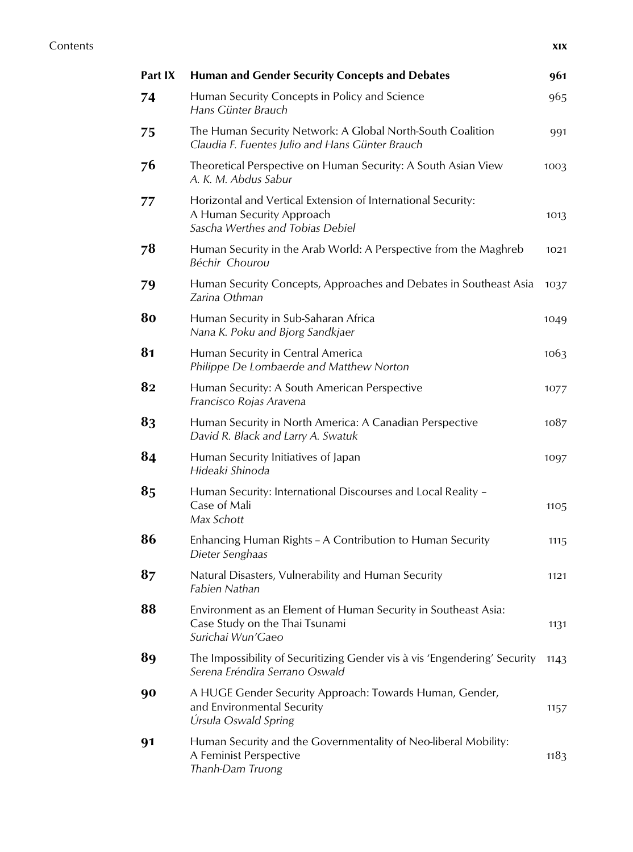| Part IX | <b>Human and Gender Security Concepts and Debates</b>                                                                         | 961  |
|---------|-------------------------------------------------------------------------------------------------------------------------------|------|
| 74      | Human Security Concepts in Policy and Science<br>Hans Günter Brauch                                                           | 965  |
| 75      | The Human Security Network: A Global North-South Coalition<br>Claudia F. Fuentes Julio and Hans Günter Brauch                 | 991  |
| 76      | Theoretical Perspective on Human Security: A South Asian View<br>A. K. M. Abdus Sabur                                         | 1003 |
| 77      | Horizontal and Vertical Extension of International Security:<br>A Human Security Approach<br>Sascha Werthes and Tobias Debiel | 1013 |
| 78      | Human Security in the Arab World: A Perspective from the Maghreb<br>Béchir Chourou                                            | 1021 |
| 79      | Human Security Concepts, Approaches and Debates in Southeast Asia<br>Zarina Othman                                            | 1037 |
| 80      | Human Security in Sub-Saharan Africa<br>Nana K. Poku and Bjorg Sandkjaer                                                      | 1049 |
| 81      | Human Security in Central America<br>Philippe De Lombaerde and Matthew Norton                                                 | 1063 |
| 82      | Human Security: A South American Perspective<br>Francisco Rojas Aravena                                                       | 1077 |
| 83      | Human Security in North America: A Canadian Perspective<br>David R. Black and Larry A. Swatuk                                 | 1087 |
| 84      | Human Security Initiatives of Japan<br>Hideaki Shinoda                                                                        | 1097 |
| 85      | Human Security: International Discourses and Local Reality -<br>Case of Mali<br>Max Schott                                    | 1105 |
| 86      | Enhancing Human Rights - A Contribution to Human Security<br>Dieter Senghaas                                                  | 1115 |
| 87      | Natural Disasters, Vulnerability and Human Security<br>Fabien Nathan                                                          | 1121 |
| 88      | Environment as an Element of Human Security in Southeast Asia:<br>Case Study on the Thai Tsunami<br>Surichai Wun'Gaeo         | 1131 |
| 89      | The Impossibility of Securitizing Gender vis à vis 'Engendering' Security<br>Serena Eréndira Serrano Oswald                   | 1143 |
| 90      | A HUGE Gender Security Approach: Towards Human, Gender,<br>and Environmental Security<br>Úrsula Oswald Spring                 | 1157 |
| 91      | Human Security and the Governmentality of Neo-liberal Mobility:<br>A Feminist Perspective<br>Thanh-Dam Truong                 | 1183 |